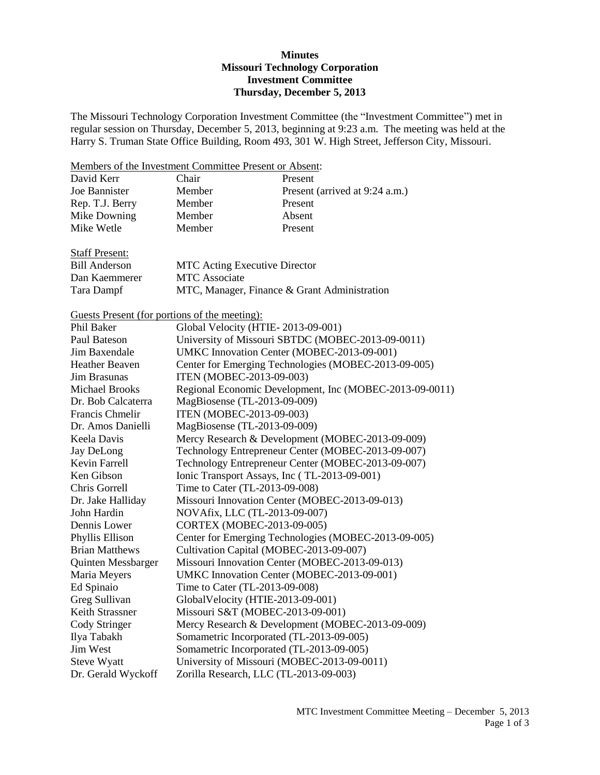## **Minutes Missouri Technology Corporation Investment Committee Thursday, December 5, 2013**

The Missouri Technology Corporation Investment Committee (the "Investment Committee") met in regular session on Thursday, December 5, 2013, beginning at 9:23 a.m. The meeting was held at the Harry S. Truman State Office Building, Room 493, 301 W. High Street, Jefferson City, Missouri.

Members of the Investment Committee Present or Absent:

| David Kerr      | Chair  | Present                        |
|-----------------|--------|--------------------------------|
| Joe Bannister   | Member | Present (arrived at 9:24 a.m.) |
| Rep. T.J. Berry | Member | Present                        |
| Mike Downing    | Member | Absent                         |
| Mike Wetle      | Member | Present                        |
|                 |        |                                |

| <b>Staff Present:</b> |                                              |
|-----------------------|----------------------------------------------|
| Bill Anderson         | <b>MTC</b> Acting Executive Director         |
| Dan Kaemmerer         | <b>MTC</b> Associate                         |
| Tara Dampf            | MTC, Manager, Finance & Grant Administration |

Guests Present (for portions of the meeting):

| Phil Baker            | Global Velocity (HTIE-2013-09-001)                      |
|-----------------------|---------------------------------------------------------|
| Paul Bateson          | University of Missouri SBTDC (MOBEC-2013-09-0011)       |
| Jim Baxendale         | UMKC Innovation Center (MOBEC-2013-09-001)              |
| <b>Heather Beaven</b> | Center for Emerging Technologies (MOBEC-2013-09-005)    |
| Jim Brasunas          | ITEN (MOBEC-2013-09-003)                                |
| <b>Michael Brooks</b> | Regional Economic Development, Inc (MOBEC-2013-09-0011) |
| Dr. Bob Calcaterra    | MagBiosense (TL-2013-09-009)                            |
| Francis Chmelir       | ITEN (MOBEC-2013-09-003)                                |
| Dr. Amos Danielli     | MagBiosense (TL-2013-09-009)                            |
| Keela Davis           | Mercy Research & Development (MOBEC-2013-09-009)        |
| Jay DeLong            | Technology Entrepreneur Center (MOBEC-2013-09-007)      |
| Kevin Farrell         | Technology Entrepreneur Center (MOBEC-2013-09-007)      |
| Ken Gibson            | Ionic Transport Assays, Inc (TL-2013-09-001)            |
| Chris Gorrell         | Time to Cater (TL-2013-09-008)                          |
| Dr. Jake Halliday     | Missouri Innovation Center (MOBEC-2013-09-013)          |
| John Hardin           | NOVAfix, LLC (TL-2013-09-007)                           |
| Dennis Lower          | CORTEX (MOBEC-2013-09-005)                              |
| Phyllis Ellison       | Center for Emerging Technologies (MOBEC-2013-09-005)    |
| <b>Brian Matthews</b> | Cultivation Capital (MOBEC-2013-09-007)                 |
| Quinten Messbarger    | Missouri Innovation Center (MOBEC-2013-09-013)          |
| Maria Meyers          | UMKC Innovation Center (MOBEC-2013-09-001)              |
| Ed Spinaio            | Time to Cater (TL-2013-09-008)                          |
| Greg Sullivan         | GlobalVelocity (HTIE-2013-09-001)                       |
| Keith Strassner       | Missouri S&T (MOBEC-2013-09-001)                        |
| Cody Stringer         | Mercy Research & Development (MOBEC-2013-09-009)        |
| Ilya Tabakh           | Somametric Incorporated (TL-2013-09-005)                |
| Jim West              | Somametric Incorporated (TL-2013-09-005)                |
| Steve Wyatt           | University of Missouri (MOBEC-2013-09-0011)             |
| Dr. Gerald Wyckoff    | Zorilla Research, LLC (TL-2013-09-003)                  |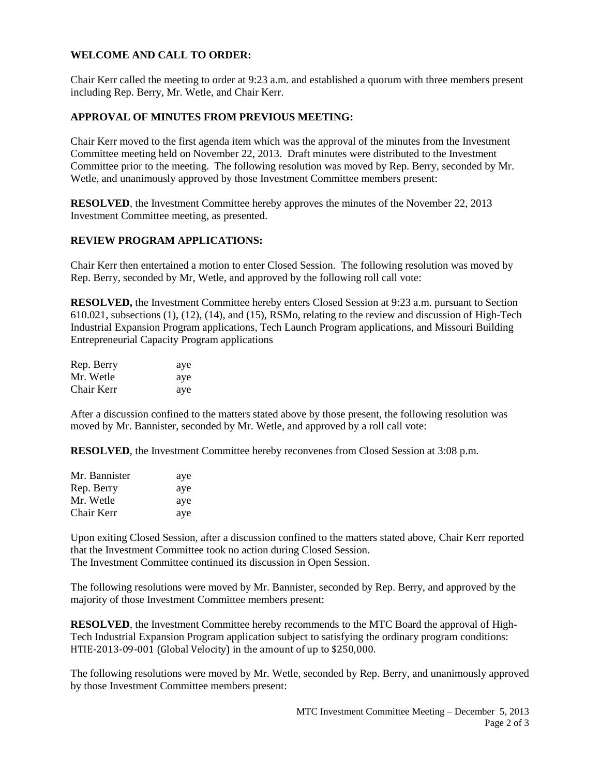## **WELCOME AND CALL TO ORDER:**

Chair Kerr called the meeting to order at 9:23 a.m. and established a quorum with three members present including Rep. Berry, Mr. Wetle, and Chair Kerr.

### **APPROVAL OF MINUTES FROM PREVIOUS MEETING:**

Chair Kerr moved to the first agenda item which was the approval of the minutes from the Investment Committee meeting held on November 22, 2013. Draft minutes were distributed to the Investment Committee prior to the meeting. The following resolution was moved by Rep. Berry, seconded by Mr. Wetle, and unanimously approved by those Investment Committee members present:

**RESOLVED**, the Investment Committee hereby approves the minutes of the November 22, 2013 Investment Committee meeting, as presented.

#### **REVIEW PROGRAM APPLICATIONS:**

Chair Kerr then entertained a motion to enter Closed Session. The following resolution was moved by Rep. Berry, seconded by Mr, Wetle, and approved by the following roll call vote:

**RESOLVED,** the Investment Committee hereby enters Closed Session at 9:23 a.m. pursuant to Section 610.021, subsections (1), (12), (14), and (15), RSMo, relating to the review and discussion of High-Tech Industrial Expansion Program applications, Tech Launch Program applications, and Missouri Building Entrepreneurial Capacity Program applications

| Rep. Berry | aye |
|------------|-----|
| Mr. Wetle  | aye |
| Chair Kerr | aye |

After a discussion confined to the matters stated above by those present, the following resolution was moved by Mr. Bannister, seconded by Mr. Wetle, and approved by a roll call vote:

**RESOLVED**, the Investment Committee hereby reconvenes from Closed Session at 3:08 p.m.

| Mr. Bannister | aye |
|---------------|-----|
| Rep. Berry    | aye |
| Mr. Wetle     | aye |
| Chair Kerr    | aye |

Upon exiting Closed Session, after a discussion confined to the matters stated above, Chair Kerr reported that the Investment Committee took no action during Closed Session. The Investment Committee continued its discussion in Open Session.

The following resolutions were moved by Mr. Bannister, seconded by Rep. Berry, and approved by the majority of those Investment Committee members present:

**RESOLVED**, the Investment Committee hereby recommends to the MTC Board the approval of High-Tech Industrial Expansion Program application subject to satisfying the ordinary program conditions: HTIE-2013-09-001 (Global Velocity) in the amount of up to \$250,000.

The following resolutions were moved by Mr. Wetle, seconded by Rep. Berry, and unanimously approved by those Investment Committee members present: